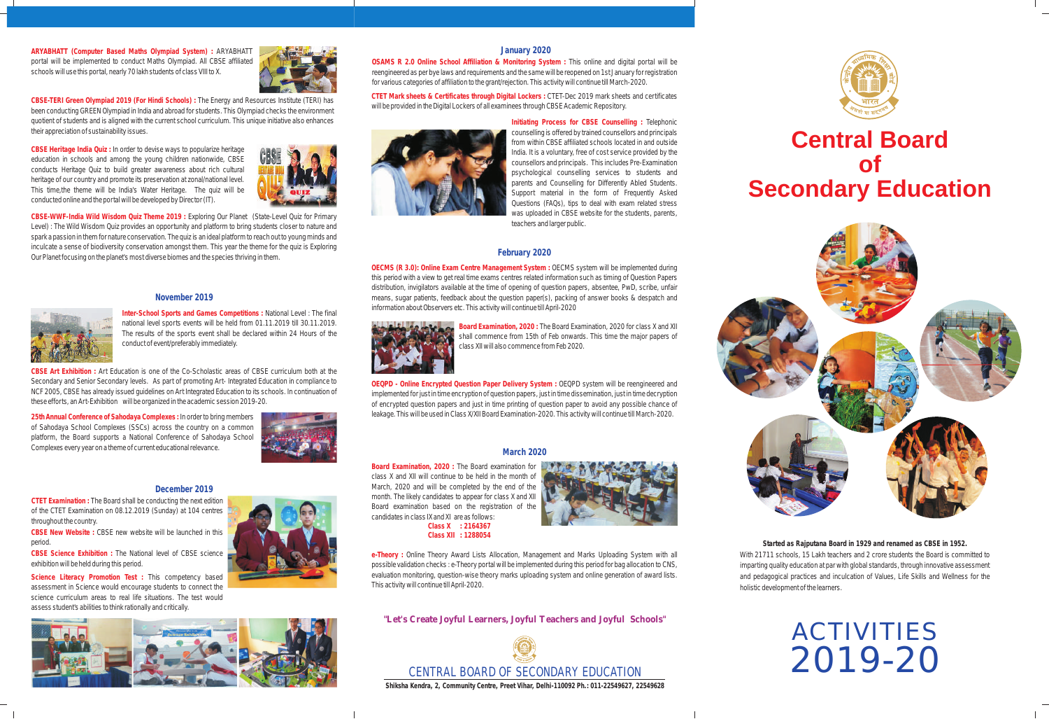ACTIVITIES 2019-20

# **Central Board of Secondary Education**



#### **November 2019**

**Inter-School Sports and Games Competitions :** National Level : The final national level sports events will be held from 01.11.2019 till 30.11.2019. The results of the sports event shall be declared within 24 Hours of the conduct of event/preferably immediately.

**25th Annual Conference of Sahodaya Complexes :** In order to bring members of Sahodaya School Complexes (SSCs) across the country on a common platform, the Board supports a National Conference of Sahodaya School Complexes every year on a theme of current educational relevance.<br>March 2020



**CBSE Art Exhibition :** Art Education is one of the Co-Scholastic areas of CBSE curriculum both at the Secondary and Senior Secondary levels. As part of promoting Art- Integrated Education in compliance to NCF 2005, CBSE has already issued guidelines on Art Integrated Education to its schools. In continuation of these efforts, an Art-Exhibition will be organized in the academic session 2019-20.





**Board Examination, 2020 :**  The Board examination for **Class X : 2164367** class X and XII will continue to be held in the month of March, 2020 and will be completed by the end of the month. The likely candidates to appear for class X and XII Board examination based on the registration of the candidates in class IX and XI are as follows:

**e-Theory :** Online Theory Award Lists Allocation, Management and Marks Uploading System with all possible validation checks : e-Theory portal will be implemented during this period for bag allocation to CNS, evaluation monitoring, question-wise theory marks uploading system and online generation of award lists. This activity will continue till April-2020.

### **February 2020**

**OECMS (R 3.0): Online Exam Centre Management System :** OECMS system will be implemented during this period with a view to get real time exams centres related information such as timing of Question Papers distribution, invigilators available at the time of opening of question papers, absentee, PwD, scribe, unfair means, sugar patients, feedback about the question paper(s), packing of answer books & despatch and information about Observers etc. This activity will continue till April-2020



**Board Examination, 2020 :** The Board Examination, 2020 for class X and XII shall commence from 15th of Feb onwards. This time the major papers of class XII will also commence from Feb 2020.

**OEQPD - Online Encrypted Question Paper Delivery System :** OEQPD system will be reengineered and implemented for just in time encryption of question papers, just in time dissemination, just in time decryption of encrypted question papers and just in time printing of question paper to avoid any possible chance of leakage. This will be used in Class X/XII Board Examination-2020. This activity will continue till March-2020.

#### **December 2019**

**CBSE Science Exhibition :** The National level of CBSE science exhibition will be held during this period.

**Science Literacy Promotion Test :** This competency based assessment in Science would encourage students to connect the science curriculum areas to real life situations. The test would assess student's abilities to think rationally and critically.



**CTET Examination :** The Board shall be conducting the next edition of the CTET Examination on 08.12.2019 (Sunday) at 104 centres throughout the country.

**CBSE New Website :** CBSE new website will be launched in this period.

#### **January 2020**

**OSAMS R 2.0 Online School Affiliation & Monitoring System :** This online and digital portal will be reengineered as per bye laws and requirements and the same will be reopened on 1st January for registration for various categories of affiliation to the grant/rejection. This activity will continue till March-2020.

**CTET Mark sheets & Certificates through Digital Lockers :** CTET-Dec 2019 mark sheets and certificates will be provided in the Digital Lockers of all examinees through CBSE Academic Repository.



**Initiating Process for CBSE Counselling :** Telephonic counselling is offered by trained counsellors and principals from within CBSE affiliated schools located in and outside India. It is a voluntary, free of cost service provided by the counsellors and principals. This includes Pre-Examination psychological counselling services to students and parents and Counselling for Differently Abled Students. Support material in the form of Frequently Asked Questions (FAQs), tips to deal with exam related stress was uploaded in CBSE website for the students, parents, teachers and larger public.

> **Started as Rajputana Board in 1929 and renamed as CBSE in 1952.**  With 21711 schools, 15 Lakh teachers and 2 crore students the Board is committed to imparting quality education at par with global standards, through innovative assessment and pedagogical practices and inculcation of Values, Life Skills and Wellness for the holistic development of the learners.

**"Let's Create Joyful Learners, Joyful Teachers and Joyful Schools"**

**Shiksha Kendra, 2, Community Centre, Preet Vihar, Delhi-110092 Ph.: 011-22549627, 22549628**

**CBSE-TERI Green Olympiad 2019 (For Hindi Schools) :** The Energy and Resources Institute (TERI) has been conducting GREEN Olympiad in India and abroad for students. This Olympiad checks the environment quotient of students and is aligned with the current school curriculum. This unique initiative also enhances their appreciation of sustainability issues.

**ARYABHATT (Computer Based Maths Olympiad System) :** ARYABHATT portal will be implemented to conduct Maths Olympiad. All CBSE affiliated schools will use this portal, nearly 70 lakh students of class VIII to X.





**CBSE-WWF-India Wild Wisdom Quiz Theme 2019 :** Exploring Our Planet (State-Level Quiz for Primary Level) : The Wild Wisdom Quiz provides an opportunity and platform to bring students closer to nature and spark a passion in them for nature conservation. The quiz is an ideal platform to reach out to young minds and inculcate a sense of biodiversity conservation amongst them. This year the theme for the quiz is Exploring Our Planet focusing on the planet's most diverse biomes and the species thriving in them.



**CBSE Heritage India Quiz :** In order to devise ways to popularize heritage education in schools and among the young children nationwide, CBSE conducts Heritage Quiz to build greater awareness about rich cultural heritage of our country and promote its preservation at zonal/national level. This time,the theme will be India's Water Heritage. The quiz will be conducted online and the portal will be developed by Director (IT).